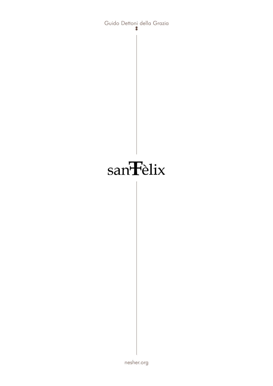

Guido Dettoni della Grazia 8

nesher.org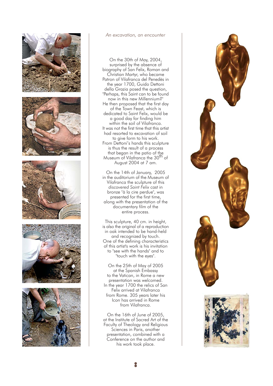

## An excavation, an encounter

On the 30th of May, 2004, surprised by the absence of biography of San Felix, Roman and Christian Martyr, who became Patron of Vilafranca del Penedès in the year 1700, Guido Dettoni della Grazia posed the question, "Perhaps, this Saint can to be found now in this new Millennium?" He then proposed that the first day of the Town Feast, which is dedicated to Saint Felix, would be a good day for finding him within the soil of Vilafranca. It was not the first time that this artist had resorted to excavation of soil to give form to his work. From Dettoni's hands this sculpture is thus the result of a process that began in the patio of the Museum of Vilafranca the 30<sup>th</sup> of August 2004 at 7 am.

On the 14th of January, 2005 in the auditorium of the Museum of Vilafranca the sculpture of this discovered Saint Felix cast in bronze "à la cire perdue", was presented for the first time, along with the presentation of the documentary film of the entire process.

This sculpture, 40 cm. in height, is also the original of a reproduction in oak intended to be hand-held and recognized by touch. One of the defining characteristics of this artist's work is his invitation to "see with the hands" and to "touch with the eyes".

On the 25th of May of 2005 at the Spanish Embassy to the Vatican, in Rome a new presentation was welcomed. In the year 1700 the relics of San Felix arrived at Vilafranca from Rome. 305 years later his Icon has arrived in Rome from Vilafranca.

On the 16th of June of 2005, at the Institute of Sacred Art of the Faculty of Theology and Religious Sciences in Paris, another presentation, combined with a Conference on the author and his work took place.

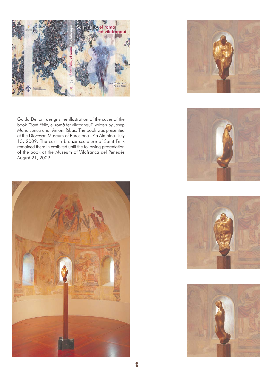

Guido Dettoni designs the illustration of the cover of the book "Sant Fèlix, el romà fet vilafranquí" written by Josep Maria Juncà and Antoni Ribas. The book was presented at the Diocesan Museum of Barcelona - Pia Almoina- July 15, 2009. The cast in bronze sculpture of Saint Felix remained there in exhibited until the following presentation of the book at the Museum of Vilafranca del Penedès August 21, 2009.